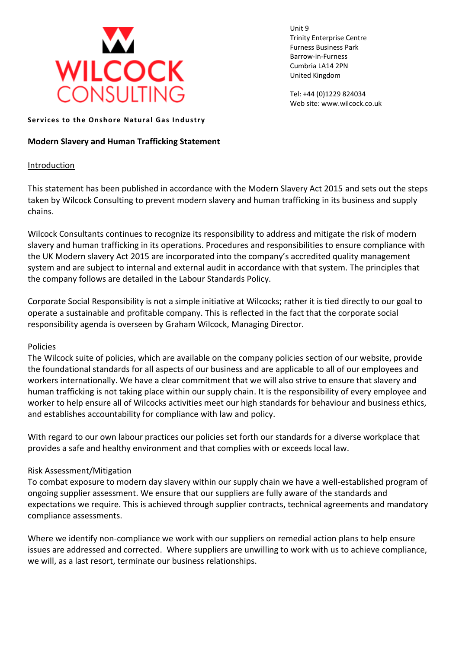

Unit 9 Trinity Enterprise Centre Furness Business Park Barrow-in-Furness Cumbria LA14 2PN United Kingdom

Tel: +44 (0)1229 824034 Web site: www.wilcock.co.uk

**Services to the Onshore Natural Gas Industry** 

# **Modern Slavery and Human Trafficking Statement**

### Introduction

This statement has been published in accordance with the Modern Slavery Act 2015 and sets out the steps taken by Wilcock Consulting to prevent modern slavery and human trafficking in its business and supply chains.

Wilcock Consultants continues to recognize its responsibility to address and mitigate the risk of modern slavery and human trafficking in its operations. Procedures and responsibilities to ensure compliance with the UK Modern slavery Act 2015 are incorporated into the company's accredited quality management system and are subject to internal and external audit in accordance with that system. The principles that the company follows are detailed in the Labour Standards Policy.

Corporate Social Responsibility is not a simple initiative at Wilcocks; rather it is tied directly to our goal to operate a sustainable and profitable company. This is reflected in the fact that the corporate social responsibility agenda is overseen by Graham Wilcock, Managing Director.

#### Policies

The Wilcock suite of policies, which are available on the company policies section of our website, provide the foundational standards for all aspects of our business and are applicable to all of our employees and workers internationally. We have a clear commitment that we will also strive to ensure that slavery and human trafficking is not taking place within our supply chain. It is the responsibility of every employee and worker to help ensure all of Wilcocks activities meet our high standards for behaviour and business ethics, and establishes accountability for compliance with law and policy.

With regard to our own labour practices our policies set forth our standards for a diverse workplace that provides a safe and healthy environment and that complies with or exceeds local law.

# Risk Assessment/Mitigation

To combat exposure to modern day slavery within our supply chain we have a well-established program of ongoing supplier assessment. We ensure that our suppliers are fully aware of the standards and expectations we require. This is achieved through supplier contracts, technical agreements and mandatory compliance assessments.

Where we identify non-compliance we work with our suppliers on remedial action plans to help ensure issues are addressed and corrected. Where suppliers are unwilling to work with us to achieve compliance, we will, as a last resort, terminate our business relationships.